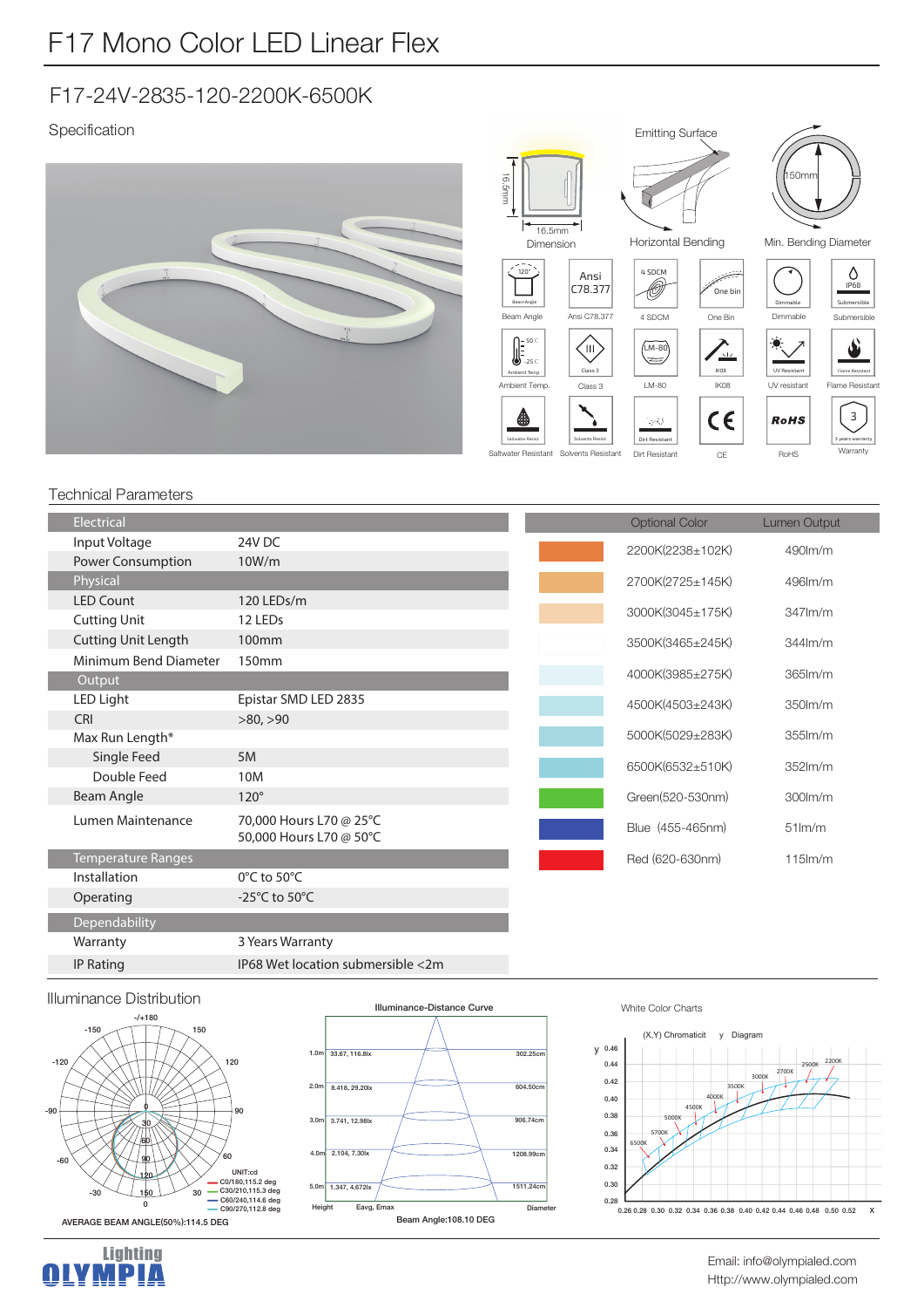# F17-24V-2835-120-2200K-6500K

### Specification







۹

 $150m$ 





Warranty 3

### Technical Parameters

|  | Electrical                 |                                     | <b>Optional Color</b> | <b>Lumen Output</b> |
|--|----------------------------|-------------------------------------|-----------------------|---------------------|
|  | Input Voltage              | 24V DC                              | 2200K(2238±102K)      | 490lm/m             |
|  | Power Consumption          | 10W/m                               |                       |                     |
|  | Physical                   |                                     | 2700K(2725±145K)      | 496lm/m             |
|  | <b>LED Count</b>           | 120 LEDs/m                          | 3000K(3045±175K)      | $347$ $\rm{Im/m}$   |
|  | <b>Cutting Unit</b>        | 12 LEDs                             |                       |                     |
|  | <b>Cutting Unit Length</b> | 100mm                               | 3500K(3465±245K)      | $344$ lm/m          |
|  | Minimum Bend Diameter      | 150mm                               |                       |                     |
|  | Output                     |                                     | 4000K(3985±275K)      | 365lm/m             |
|  | LED Light                  | Epistar SMD LED 2835                | 4500K(4503±243K)      | 350lm/m             |
|  | CRI                        | >80, >90                            |                       |                     |
|  | Max Run Length*            |                                     | 5000K(5029±283K)      | $355$ $\text{Im/m}$ |
|  | Single Feed                | 5M                                  | 6500K(6532±510K)      | $352$ m/m           |
|  | Double Feed                | 10M                                 |                       |                     |
|  | Beam Angle                 | $120^\circ$                         | Green(520-530nm)      | 300lm/m             |
|  | Lumen Maintenance          | 70,000 Hours L70 @ 25°C             | Blue (455-465nm)      | $51$ lm/m           |
|  |                            | 50,000 Hours L70 @ 50°C             |                       |                     |
|  | <b>Temperature Ranges</b>  |                                     | Red (620-630nm)       | $115$ m/m           |
|  | Installation               | 0°C to 50°C                         |                       |                     |
|  | Operating                  | -25 $^{\circ}$ C to 50 $^{\circ}$ C |                       |                     |
|  | Dependability              |                                     |                       |                     |
|  | Warranty                   | 3 Years Warranty                    |                       |                     |
|  | <b>IP Rating</b>           | IP68 Wet location submersible <2m   |                       |                     |







#### White Color Charts



Http://www.olympialed.com Email: info@olympialed.com